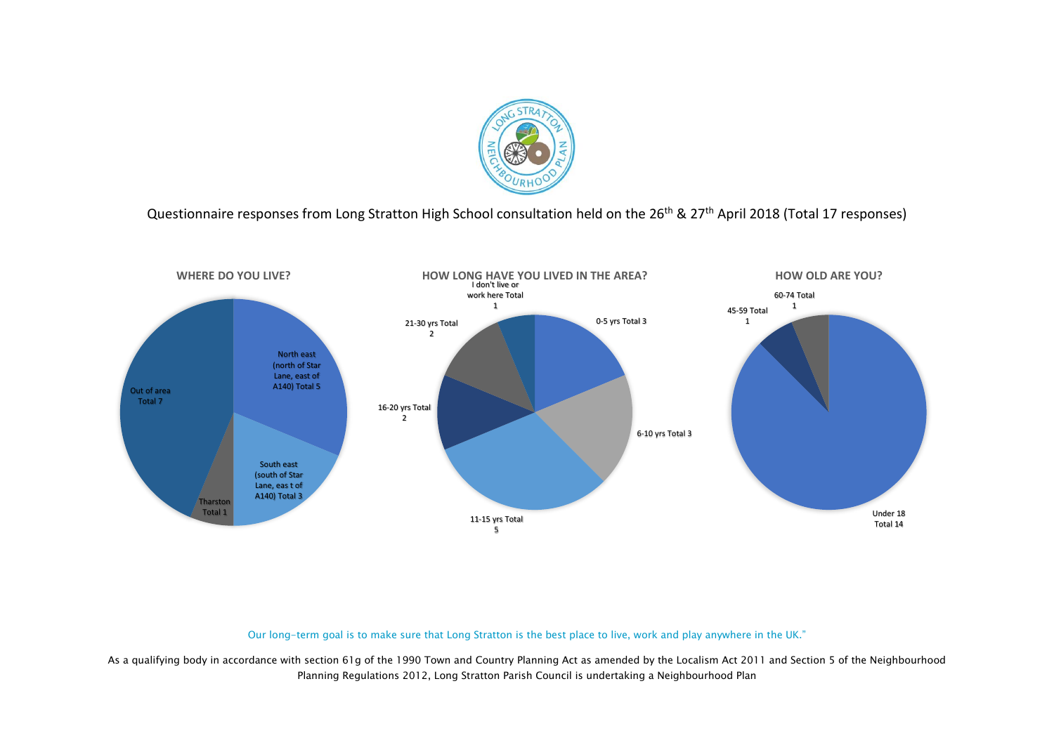

Questionnaire responses from Long Stratton High School consultation held on the 26<sup>th</sup> & 27<sup>th</sup> April 2018 (Total 17 responses)



Our long-term goal is to make sure that Long Stratton is the best place to live, work and play anywhere in the UK."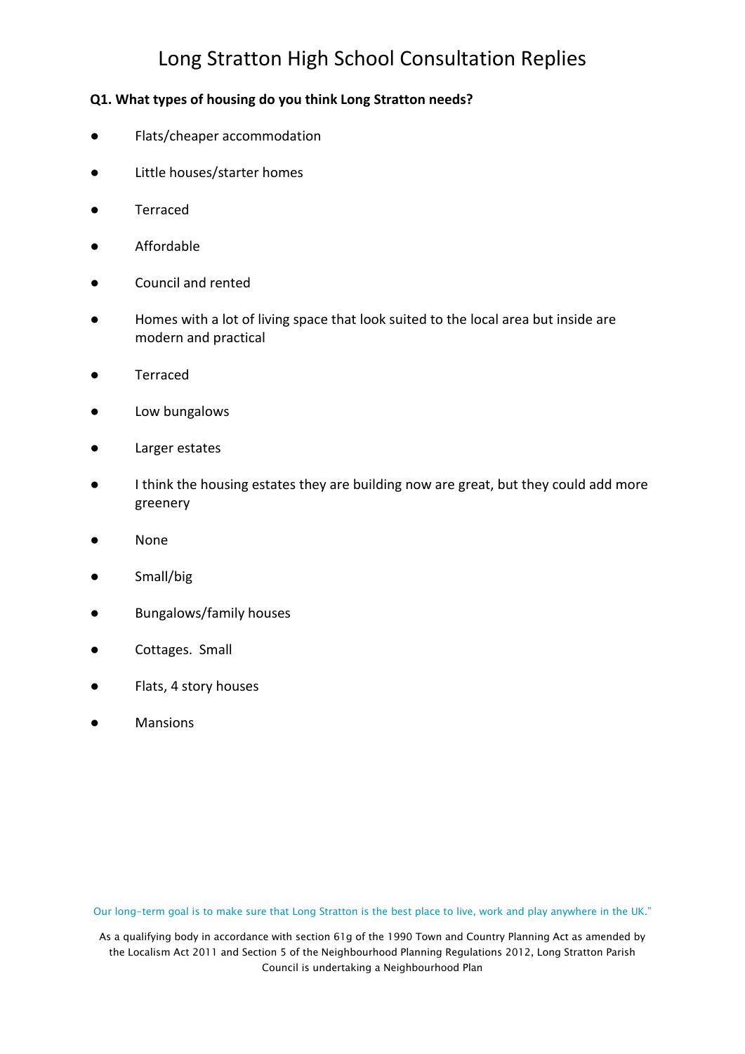### **Q1. What types of housing do you think Long Stratton needs?**

- Flats/cheaper accommodation
- Little houses/starter homes
- Terraced
- Affordable
- Council and rented
- Homes with a lot of living space that look suited to the local area but inside are modern and practical
- Terraced
- Low bungalows
- Larger estates
- I think the housing estates they are building now are great, but they could add more greenery
- **None**
- Small/big
- Bungalows/family houses
- Cottages. Small
- Flats, 4 story houses
- **Mansions**

Our long-term goal is to make sure that Long Stratton is the best place to live, work and play anywhere in the UK."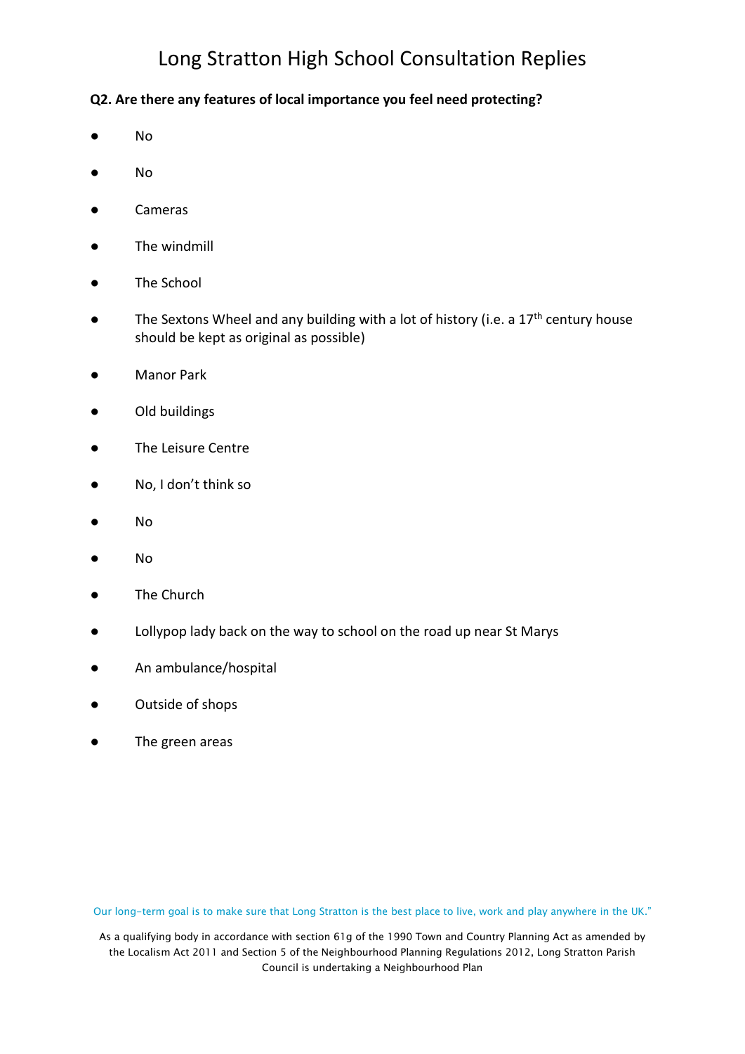### **Q2. Are there any features of local importance you feel need protecting?**

- No
- No
- Cameras
- The windmill
- The School
- The Sextons Wheel and any building with a lot of history (i.e. a 17<sup>th</sup> century house should be kept as original as possible)
- Manor Park
- Old buildings
- The Leisure Centre
- No, I don't think so
- No
- No
- The Church
- Lollypop lady back on the way to school on the road up near St Marys
- An ambulance/hospital
- Outside of shops
- The green areas

Our long-term goal is to make sure that Long Stratton is the best place to live, work and play anywhere in the UK."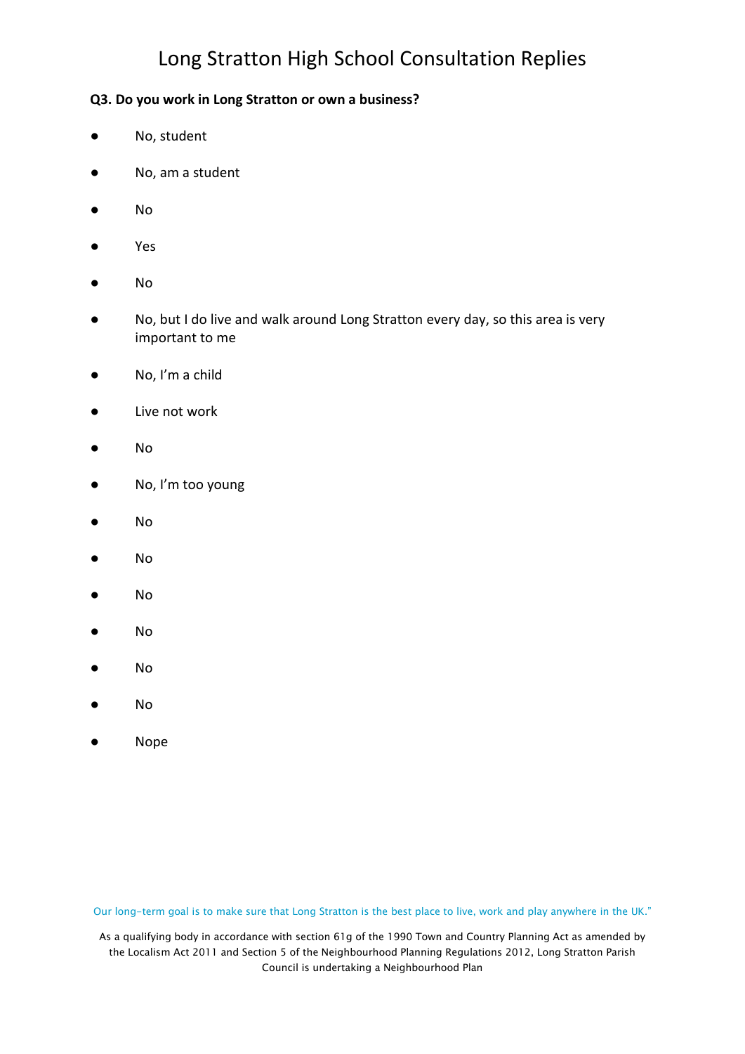#### **Q3. Do you work in Long Stratton or own a business?**

- No, student
- No, am a student
- No
- Yes
- No
- No, but I do live and walk around Long Stratton every day, so this area is very important to me
- No, I'm a child
- Live not work
- No
- No, I'm too young
- No
- No
- No
- No
- No
- No
- Nope

Our long-term goal is to make sure that Long Stratton is the best place to live, work and play anywhere in the UK."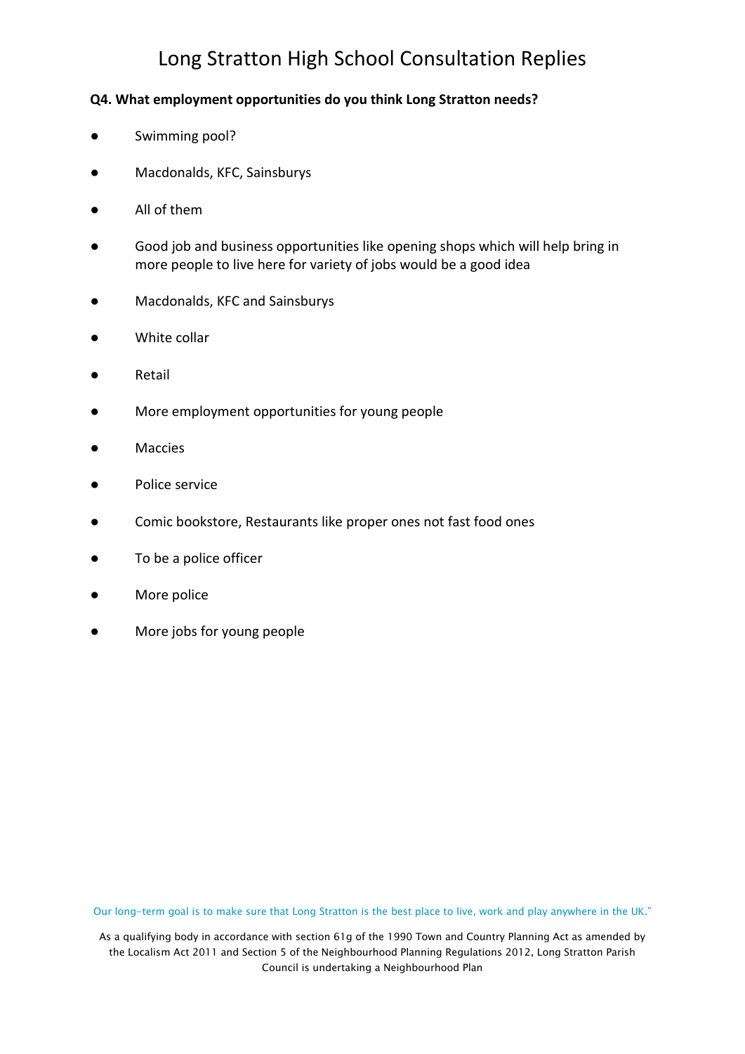#### **Q4. What employment opportunities do you think Long Stratton needs?**

- Swimming pool?
- Macdonalds, KFC, Sainsburys
- All of them
- Good job and business opportunities like opening shops which will help bring in more people to live here for variety of jobs would be a good idea
- Macdonalds, KFC and Sainsburys
- White collar
- Retail
- More employment opportunities for young people
- Maccies
- Police service
- Comic bookstore, Restaurants like proper ones not fast food ones
- To be a police officer
- More police
- More jobs for young people

Our long-term goal is to make sure that Long Stratton is the best place to live, work and play anywhere in the UK."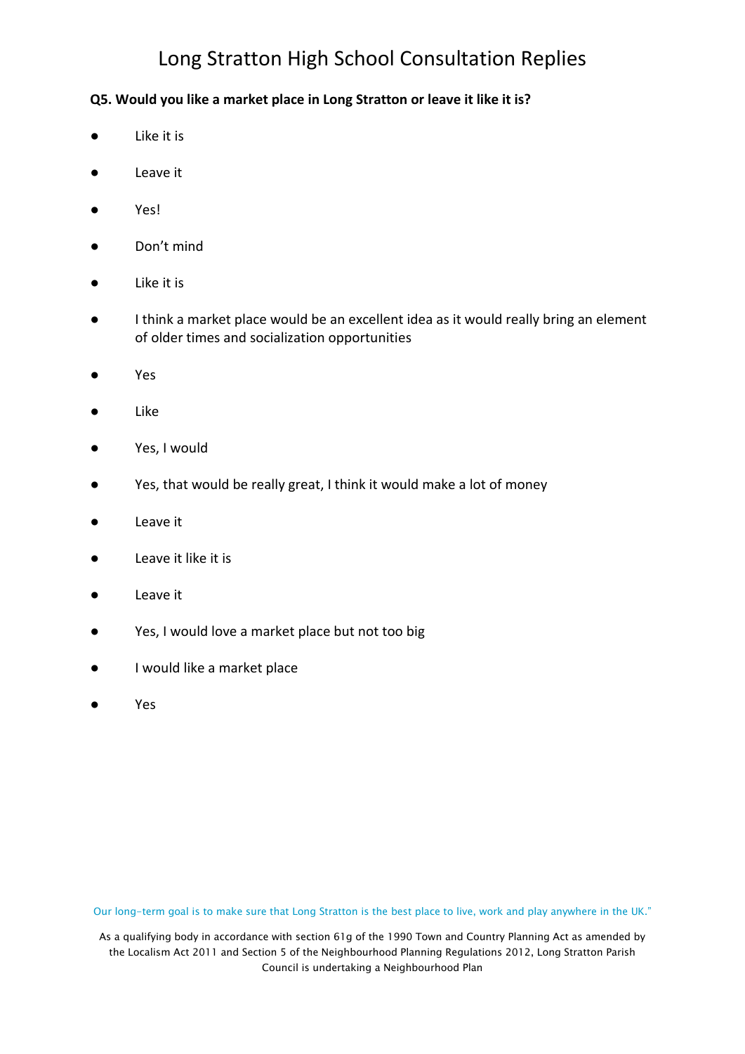### **Q5. Would you like a market place in Long Stratton or leave it like it is?**

- Like it is
- Leave it
- Yes!
- Don't mind
- Like it is
- I think a market place would be an excellent idea as it would really bring an element of older times and socialization opportunities
- Yes
- **Like**
- Yes, I would
- Yes, that would be really great, I think it would make a lot of money
- Leave it
- Leave it like it is
- Leave it
- Yes, I would love a market place but not too big
- I would like a market place
- Yes

Our long-term goal is to make sure that Long Stratton is the best place to live, work and play anywhere in the UK."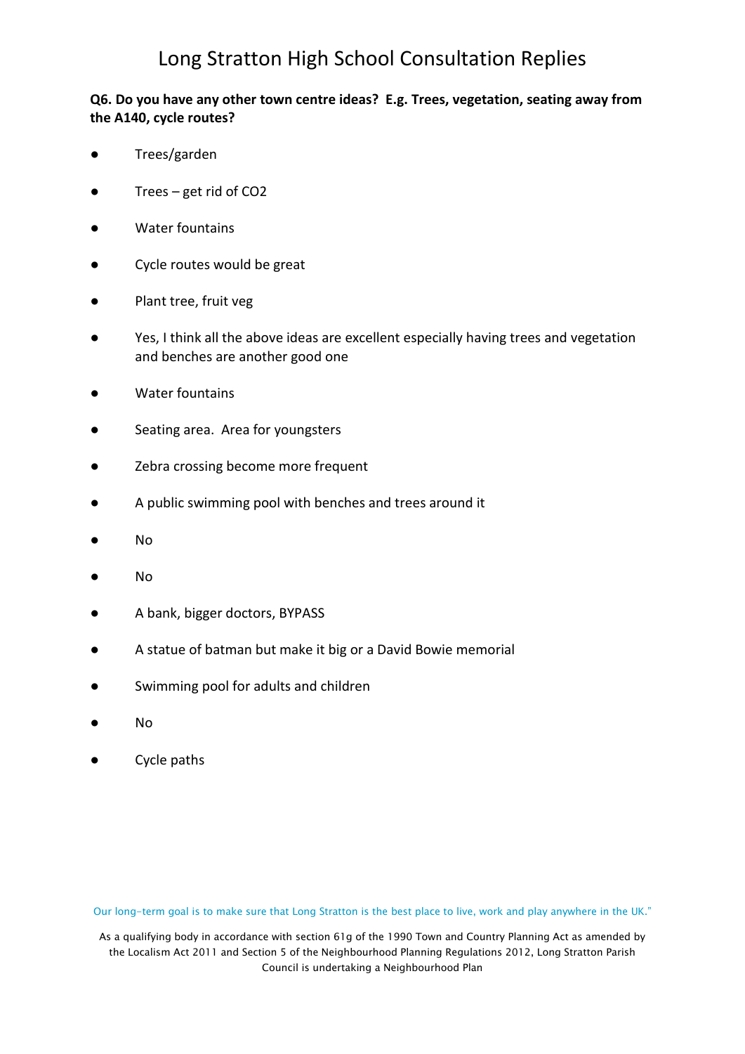### **Q6. Do you have any other town centre ideas? E.g. Trees, vegetation, seating away from the A140, cycle routes?**

- Trees/garden
- Trees get rid of  $CO2$
- Water fountains
- Cycle routes would be great
- Plant tree, fruit veg
- Yes, I think all the above ideas are excellent especially having trees and vegetation and benches are another good one
- Water fountains
- Seating area. Area for youngsters
- Zebra crossing become more frequent
- A public swimming pool with benches and trees around it
- No
- No
- A bank, bigger doctors, BYPASS
- A statue of batman but make it big or a David Bowie memorial
- Swimming pool for adults and children
- No
- Cycle paths

Our long-term goal is to make sure that Long Stratton is the best place to live, work and play anywhere in the UK."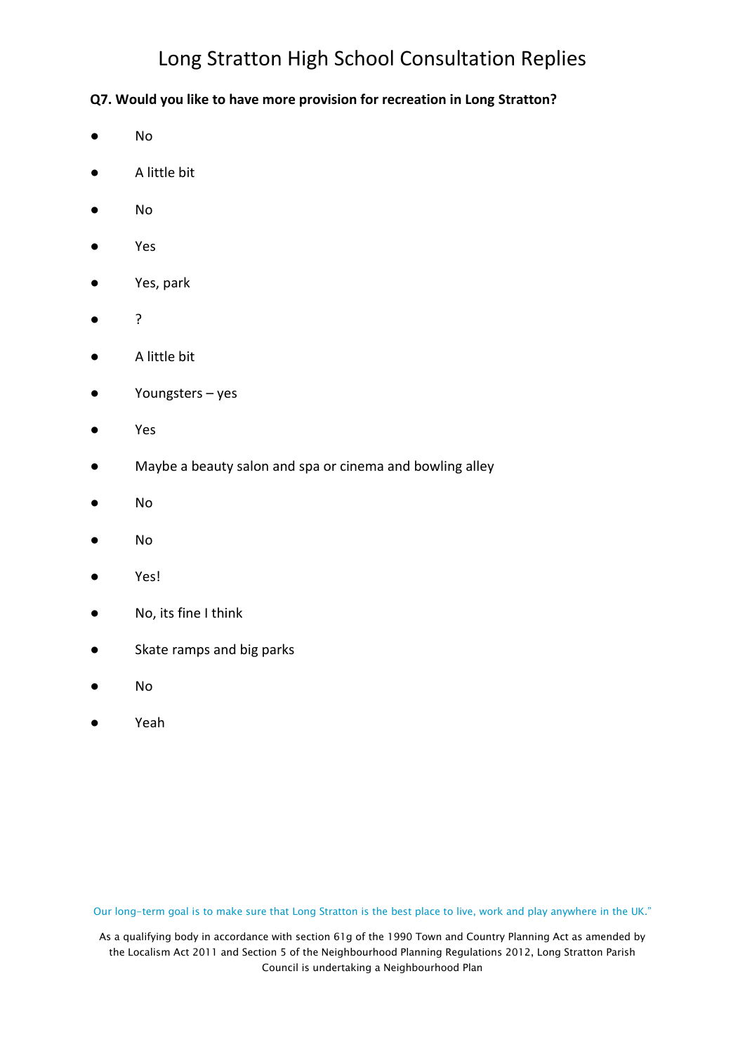### **Q7. Would you like to have more provision for recreation in Long Stratton?**

- No
- A little bit
- No
- Yes
- Yes, park
- ?
- A little bit
- Youngsters yes
- Yes
- Maybe a beauty salon and spa or cinema and bowling alley
- No
- No
- Yes!
- No, its fine I think
- Skate ramps and big parks
- No
- Yeah

Our long-term goal is to make sure that Long Stratton is the best place to live, work and play anywhere in the UK."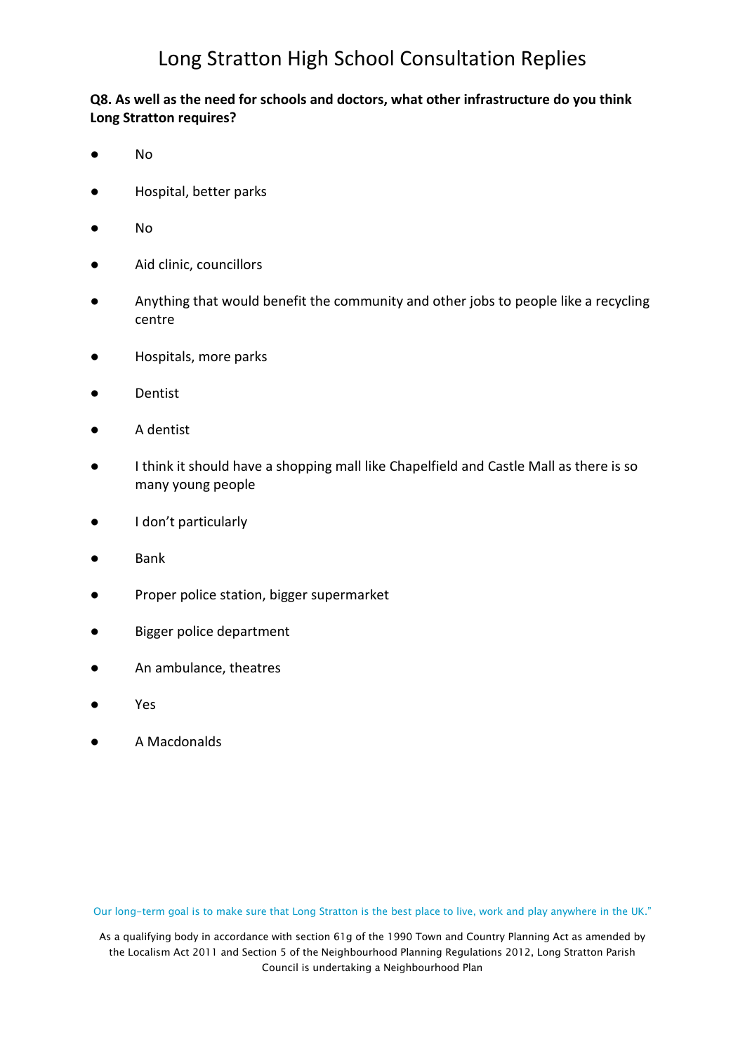### **Q8. As well as the need for schools and doctors, what other infrastructure do you think Long Stratton requires?**

- No
- Hospital, better parks
- No
- Aid clinic, councillors
- Anything that would benefit the community and other jobs to people like a recycling centre
- Hospitals, more parks
- Dentist
- A dentist
- I think it should have a shopping mall like Chapelfield and Castle Mall as there is so many young people
- I don't particularly
- Bank
- Proper police station, bigger supermarket
- Bigger police department
- An ambulance, theatres
- Yes
- A Macdonalds

Our long-term goal is to make sure that Long Stratton is the best place to live, work and play anywhere in the UK."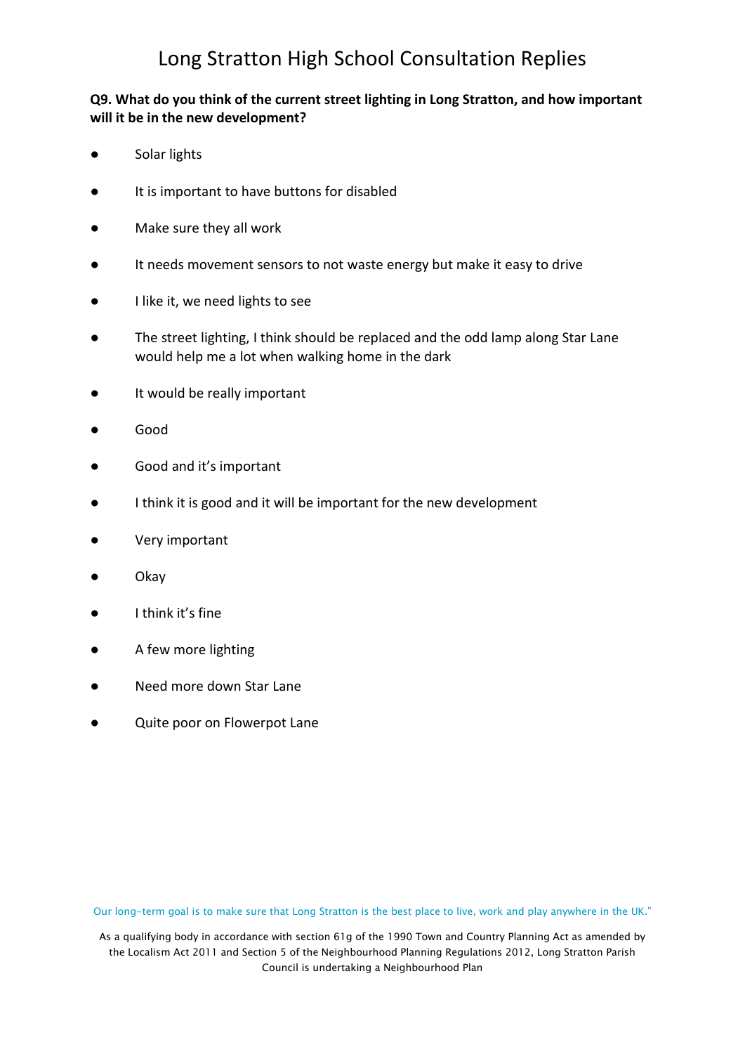### **Q9. What do you think of the current street lighting in Long Stratton, and how important will it be in the new development?**

- Solar lights
- It is important to have buttons for disabled
- Make sure they all work
- It needs movement sensors to not waste energy but make it easy to drive
- I like it, we need lights to see
- The street lighting, I think should be replaced and the odd lamp along Star Lane would help me a lot when walking home in the dark
- It would be really important
- Good
- Good and it's important
- I think it is good and it will be important for the new development
- Very important
- Okay
- I think it's fine
- A few more lighting
- Need more down Star Lane
- Quite poor on Flowerpot Lane

Our long-term goal is to make sure that Long Stratton is the best place to live, work and play anywhere in the UK."